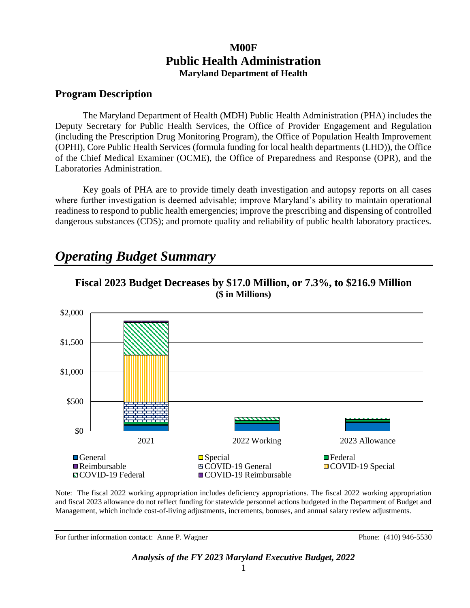# **M00F Public Health Administration Maryland Department of Health**

# **Program Description**

The Maryland Department of Health (MDH) Public Health Administration (PHA) includes the Deputy Secretary for Public Health Services, the Office of Provider Engagement and Regulation (including the Prescription Drug Monitoring Program), the Office of Population Health Improvement (OPHI), Core Public Health Services (formula funding for local health departments (LHD)), the Office of the Chief Medical Examiner (OCME), the Office of Preparedness and Response (OPR), and the Laboratories Administration.

Key goals of PHA are to provide timely death investigation and autopsy reports on all cases where further investigation is deemed advisable; improve Maryland's ability to maintain operational readiness to respond to public health emergencies; improve the prescribing and dispensing of controlled dangerous substances (CDS); and promote quality and reliability of public health laboratory practices.

# *Operating Budget Summary*



**Fiscal 2023 Budget Decreases by \$17.0 Million, or 7.3%, to \$216.9 Million (\$ in Millions)**

Note: The fiscal 2022 working appropriation includes deficiency appropriations. The fiscal 2022 working appropriation and fiscal 2023 allowance do not reflect funding for statewide personnel actions budgeted in the Department of Budget and Management, which include cost-of-living adjustments, increments, bonuses, and annual salary review adjustments.

For further information contact: Anne P. Wagner Phone: (410) 946-5530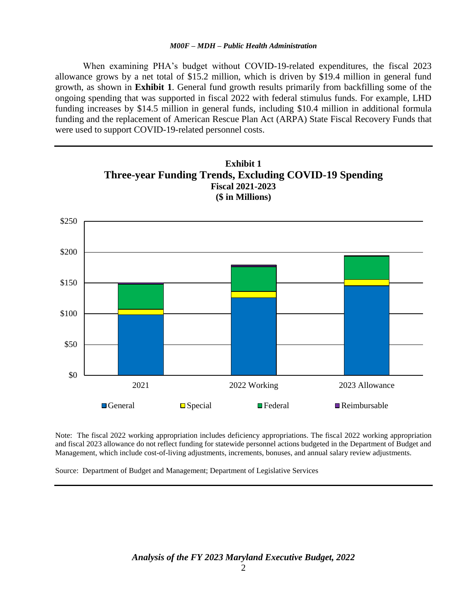When examining PHA's budget without COVID-19-related expenditures, the fiscal 2023 allowance grows by a net total of \$15.2 million, which is driven by \$19.4 million in general fund growth, as shown in **Exhibit 1**. General fund growth results primarily from backfilling some of the ongoing spending that was supported in fiscal 2022 with federal stimulus funds. For example, LHD funding increases by \$14.5 million in general funds, including \$10.4 million in additional formula funding and the replacement of American Rescue Plan Act (ARPA) State Fiscal Recovery Funds that were used to support COVID-19-related personnel costs.



Note: The fiscal 2022 working appropriation includes deficiency appropriations. The fiscal 2022 working appropriation and fiscal 2023 allowance do not reflect funding for statewide personnel actions budgeted in the Department of Budget and Management, which include cost-of-living adjustments, increments, bonuses, and annual salary review adjustments.

Source: Department of Budget and Management; Department of Legislative Services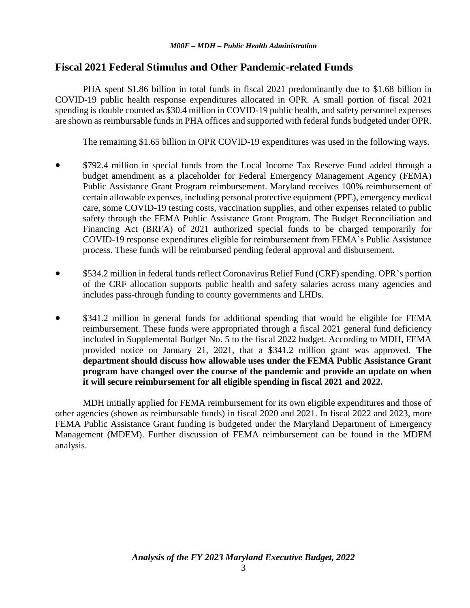# **Fiscal 2021 Federal Stimulus and Other Pandemic-related Funds**

PHA spent \$1.86 billion in total funds in fiscal 2021 predominantly due to \$1.68 billion in COVID-19 public health response expenditures allocated in OPR. A small portion of fiscal 2021 spending is double counted as \$30.4 million in COVID-19 public health, and safety personnel expenses are shown as reimbursable funds in PHA offices and supported with federal funds budgeted under OPR.

The remaining \$1.65 billion in OPR COVID-19 expenditures was used in the following ways.

- \$792.4 million in special funds from the Local Income Tax Reserve Fund added through a budget amendment as a placeholder for Federal Emergency Management Agency (FEMA) Public Assistance Grant Program reimbursement. Maryland receives 100% reimbursement of certain allowable expenses, including personal protective equipment (PPE), emergency medical care, some COVID-19 testing costs, vaccination supplies, and other expenses related to public safety through the FEMA Public Assistance Grant Program. The Budget Reconciliation and Financing Act (BRFA) of 2021 authorized special funds to be charged temporarily for COVID-19 response expenditures eligible for reimbursement from FEMA's Public Assistance process. These funds will be reimbursed pending federal approval and disbursement.
- \$534.2 million in federal funds reflect Coronavirus Relief Fund (CRF) spending. OPR's portion of the CRF allocation supports public health and safety salaries across many agencies and includes pass-through funding to county governments and LHDs.
- \$341.2 million in general funds for additional spending that would be eligible for FEMA reimbursement. These funds were appropriated through a fiscal 2021 general fund deficiency included in Supplemental Budget No. 5 to the fiscal 2022 budget. According to MDH, FEMA provided notice on January 21, 2021, that a \$341.2 million grant was approved. **The department should discuss how allowable uses under the FEMA Public Assistance Grant program have changed over the course of the pandemic and provide an update on when it will secure reimbursement for all eligible spending in fiscal 2021 and 2022.**

MDH initially applied for FEMA reimbursement for its own eligible expenditures and those of other agencies (shown as reimbursable funds) in fiscal 2020 and 2021. In fiscal 2022 and 2023, more FEMA Public Assistance Grant funding is budgeted under the Maryland Department of Emergency Management (MDEM). Further discussion of FEMA reimbursement can be found in the MDEM analysis.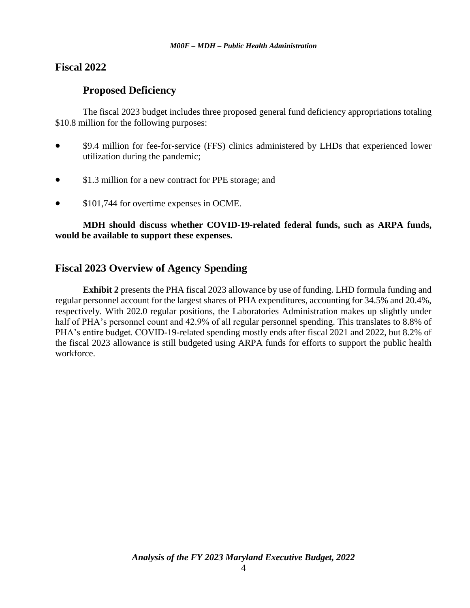# **Fiscal 2022**

# **Proposed Deficiency**

The fiscal 2023 budget includes three proposed general fund deficiency appropriations totaling \$10.8 million for the following purposes:

- \$9.4 million for fee-for-service (FFS) clinics administered by LHDs that experienced lower utilization during the pandemic;
- \$1.3 million for a new contract for PPE storage; and
- $\bullet$  \$101,744 for overtime expenses in OCME.

**MDH should discuss whether COVID-19-related federal funds, such as ARPA funds, would be available to support these expenses.**

# **Fiscal 2023 Overview of Agency Spending**

**Exhibit 2** presents the PHA fiscal 2023 allowance by use of funding. LHD formula funding and regular personnel account for the largest shares of PHA expenditures, accounting for 34.5% and 20.4%, respectively. With 202.0 regular positions, the Laboratories Administration makes up slightly under half of PHA's personnel count and 42.9% of all regular personnel spending. This translates to 8.8% of PHA's entire budget. COVID-19-related spending mostly ends after fiscal 2021 and 2022, but 8.2% of the fiscal 2023 allowance is still budgeted using ARPA funds for efforts to support the public health workforce.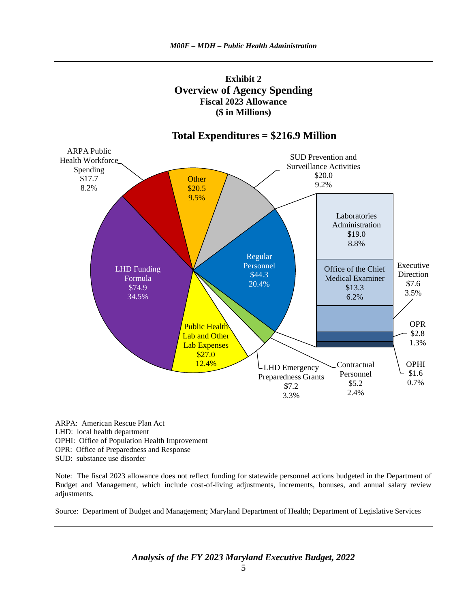



# **Total Expenditures = \$216.9 Million**

ARPA: American Rescue Plan Act LHD: local health department OPHI: Office of Population Health Improvement OPR: Office of Preparedness and Response SUD: substance use disorder

Note: The fiscal 2023 allowance does not reflect funding for statewide personnel actions budgeted in the Department of Budget and Management, which include cost-of-living adjustments, increments, bonuses, and annual salary review adjustments.

Source: Department of Budget and Management; Maryland Department of Health; Department of Legislative Services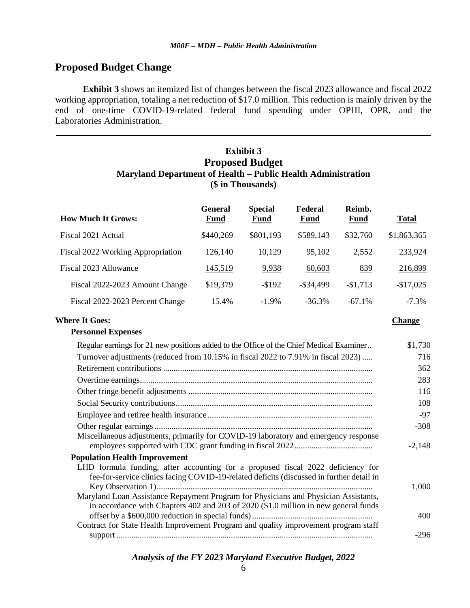# **Proposed Budget Change**

**Exhibit 3** shows an itemized list of changes between the fiscal 2023 allowance and fiscal 2022 working appropriation, totaling a net reduction of \$17.0 million. This reduction is mainly driven by the end of one-time COVID-19-related federal fund spending under OPHI, OPR, and the Laboratories Administration.

# **Exhibit 3 Proposed Budget Maryland Department of Health – Public Health Administration (\$ in Thousands)**

| <b>How Much It Grows:</b>         | <b>General</b><br><b>Fund</b> | <b>Special</b><br><b>Fund</b> | Federal<br><b>Fund</b> | Reimb.<br><b>Fund</b> | <b>Total</b> |
|-----------------------------------|-------------------------------|-------------------------------|------------------------|-----------------------|--------------|
| Fiscal 2021 Actual                | \$440,269                     | \$801,193                     | \$589,143              | \$32,760              | \$1,863,365  |
| Fiscal 2022 Working Appropriation | 126,140                       | 10,129                        | 95,102                 | 2,552                 | 233,924      |
| Fiscal 2023 Allowance             | 145,519                       | 9,938                         | 60,603                 | 839                   | 216,899      |
| Fiscal 2022-2023 Amount Change    | \$19,379                      | $-$192$                       | $-$ \$34,499           | $-$1,713$             | $-$17,025$   |
| Fiscal 2022-2023 Percent Change   | 15.4%                         | $-1.9\%$                      | $-36.3%$               | $-67.1%$              | $-7.3\%$     |

#### **Where It Goes: Change**

**Personnel Expenses**

| Regular earnings for 21 new positions added to the Office of the Chief Medical Examiner                                                                                     | \$1,730  |
|-----------------------------------------------------------------------------------------------------------------------------------------------------------------------------|----------|
| Turnover adjustments (reduced from 10.15% in fiscal 2022 to 7.91% in fiscal 2023)                                                                                           | 716      |
|                                                                                                                                                                             | 362      |
|                                                                                                                                                                             | 283      |
|                                                                                                                                                                             | 116      |
|                                                                                                                                                                             | 108      |
|                                                                                                                                                                             | $-97$    |
|                                                                                                                                                                             | $-308$   |
| Miscellaneous adjustments, primarily for COVID-19 laboratory and emergency response                                                                                         | $-2,148$ |
| <b>Population Health Improvement</b>                                                                                                                                        |          |
| LHD formula funding, after accounting for a proposed fiscal 2022 deficiency for<br>fee-for-service clinics facing COVID-19-related deficits (discussed in further detail in | 1,000    |
| Maryland Loan Assistance Repayment Program for Physicians and Physician Assistants,<br>in accordance with Chapters 402 and 203 of 2020 (\$1.0 million in new general funds  | 400      |
| Contract for State Health Improvement Program and quality improvement program staff                                                                                         |          |
|                                                                                                                                                                             | -296     |
|                                                                                                                                                                             |          |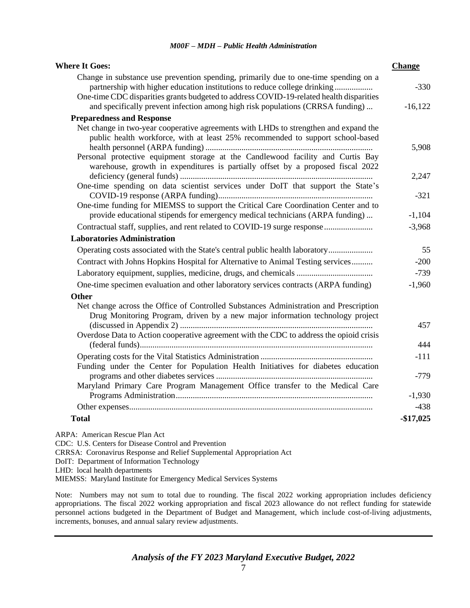| <b>Where It Goes:</b>                                                                                                                                                   | <b>Change</b> |
|-------------------------------------------------------------------------------------------------------------------------------------------------------------------------|---------------|
| Change in substance use prevention spending, primarily due to one-time spending on a<br>partnership with higher education institutions to reduce college drinking       | $-330$        |
| One-time CDC disparities grants budgeted to address COVID-19-related health disparities                                                                                 |               |
| and specifically prevent infection among high risk populations (CRRSA funding)                                                                                          | $-16,122$     |
| <b>Preparedness and Response</b>                                                                                                                                        |               |
| Net change in two-year cooperative agreements with LHDs to strengthen and expand the<br>public health workforce, with at least 25% recommended to support school-based  | 5,908         |
| Personal protective equipment storage at the Candlewood facility and Curtis Bay<br>warehouse, growth in expenditures is partially offset by a proposed fiscal 2022      |               |
|                                                                                                                                                                         | 2,247         |
| One-time spending on data scientist services under DoIT that support the State's<br>One-time funding for MIEMSS to support the Critical Care Coordination Center and to | $-321$        |
| provide educational stipends for emergency medical technicians (ARPA funding)                                                                                           | $-1,104$      |
| Contractual staff, supplies, and rent related to COVID-19 surge response                                                                                                | $-3,968$      |
| <b>Laboratories Administration</b>                                                                                                                                      |               |
| Operating costs associated with the State's central public health laboratory                                                                                            | 55            |
| Contract with Johns Hopkins Hospital for Alternative to Animal Testing services                                                                                         | $-200$        |
|                                                                                                                                                                         | $-739$        |
| One-time specimen evaluation and other laboratory services contracts (ARPA funding)                                                                                     | $-1,960$      |
| <b>Other</b>                                                                                                                                                            |               |
| Net change across the Office of Controlled Substances Administration and Prescription<br>Drug Monitoring Program, driven by a new major information technology project  | 457           |
| Overdose Data to Action cooperative agreement with the CDC to address the opioid crisis                                                                                 | 444           |
|                                                                                                                                                                         | $-111$        |
| Funding under the Center for Population Health Initiatives for diabetes education                                                                                       | $-779$        |
| Maryland Primary Care Program Management Office transfer to the Medical Care                                                                                            | $-1,930$      |
|                                                                                                                                                                         | $-438$        |
| <b>Total</b>                                                                                                                                                            | $-$17,025$    |
| $ADDA: A means that D=0.1, D1, B2, A3$                                                                                                                                  |               |

ARPA: American Rescue Plan Act CDC: U.S. Centers for Disease Control and Prevention CRRSA: Coronavirus Response and Relief Supplemental Appropriation Act DoIT: Department of Information Technology LHD: local health departments MIEMSS: Maryland Institute for Emergency Medical Services Systems

Note: Numbers may not sum to total due to rounding. The fiscal 2022 working appropriation includes deficiency appropriations. The fiscal 2022 working appropriation and fiscal 2023 allowance do not reflect funding for statewide personnel actions budgeted in the Department of Budget and Management, which include cost-of-living adjustments, increments, bonuses, and annual salary review adjustments.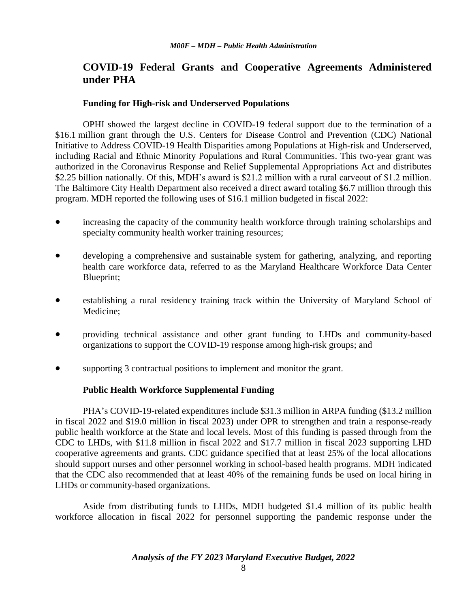# **COVID-19 Federal Grants and Cooperative Agreements Administered under PHA**

### **Funding for High-risk and Underserved Populations**

OPHI showed the largest decline in COVID-19 federal support due to the termination of a \$16.1 million grant through the U.S. Centers for Disease Control and Prevention (CDC) National Initiative to Address COVID-19 Health Disparities among Populations at High-risk and Underserved, including Racial and Ethnic Minority Populations and Rural Communities. This two-year grant was authorized in the Coronavirus Response and Relief Supplemental Appropriations Act and distributes \$2.25 billion nationally. Of this, MDH's award is \$21.2 million with a rural carveout of \$1.2 million. The Baltimore City Health Department also received a direct award totaling \$6.7 million through this program. MDH reported the following uses of \$16.1 million budgeted in fiscal 2022:

- increasing the capacity of the community health workforce through training scholarships and specialty community health worker training resources;
- developing a comprehensive and sustainable system for gathering, analyzing, and reporting health care workforce data, referred to as the Maryland Healthcare Workforce Data Center Blueprint;
- establishing a rural residency training track within the University of Maryland School of Medicine;
- providing technical assistance and other grant funding to LHDs and community-based organizations to support the COVID-19 response among high-risk groups; and
- supporting 3 contractual positions to implement and monitor the grant.

### **Public Health Workforce Supplemental Funding**

PHA's COVID-19-related expenditures include \$31.3 million in ARPA funding (\$13.2 million in fiscal 2022 and \$19.0 million in fiscal 2023) under OPR to strengthen and train a response-ready public health workforce at the State and local levels. Most of this funding is passed through from the CDC to LHDs, with \$11.8 million in fiscal 2022 and \$17.7 million in fiscal 2023 supporting LHD cooperative agreements and grants. CDC guidance specified that at least 25% of the local allocations should support nurses and other personnel working in school-based health programs. MDH indicated that the CDC also recommended that at least 40% of the remaining funds be used on local hiring in LHDs or community-based organizations.

Aside from distributing funds to LHDs, MDH budgeted \$1.4 million of its public health workforce allocation in fiscal 2022 for personnel supporting the pandemic response under the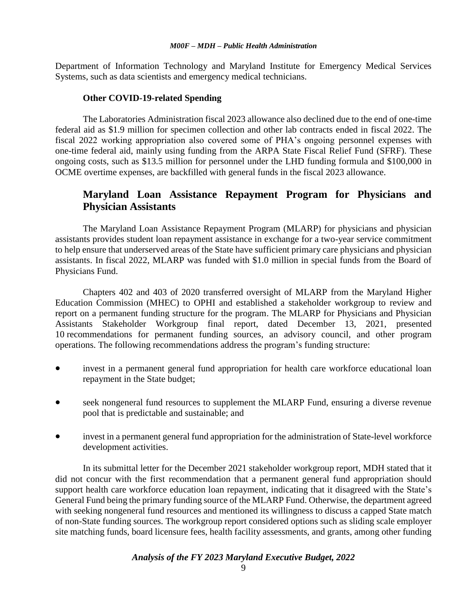Department of Information Technology and Maryland Institute for Emergency Medical Services Systems, such as data scientists and emergency medical technicians.

#### **Other COVID-19-related Spending**

The Laboratories Administration fiscal 2023 allowance also declined due to the end of one-time federal aid as \$1.9 million for specimen collection and other lab contracts ended in fiscal 2022. The fiscal 2022 working appropriation also covered some of PHA's ongoing personnel expenses with one-time federal aid, mainly using funding from the ARPA State Fiscal Relief Fund (SFRF). These ongoing costs, such as \$13.5 million for personnel under the LHD funding formula and \$100,000 in OCME overtime expenses, are backfilled with general funds in the fiscal 2023 allowance.

# **Maryland Loan Assistance Repayment Program for Physicians and Physician Assistants**

The Maryland Loan Assistance Repayment Program (MLARP) for physicians and physician assistants provides student loan repayment assistance in exchange for a two-year service commitment to help ensure that underserved areas of the State have sufficient primary care physicians and physician assistants. In fiscal 2022, MLARP was funded with \$1.0 million in special funds from the Board of Physicians Fund.

Chapters 402 and 403 of 2020 transferred oversight of MLARP from the Maryland Higher Education Commission (MHEC) to OPHI and established a stakeholder workgroup to review and report on a permanent funding structure for the program. The MLARP for Physicians and Physician Assistants Stakeholder Workgroup final report, dated December 13, 2021, presented 10 recommendations for permanent funding sources, an advisory council, and other program operations. The following recommendations address the program's funding structure:

- invest in a permanent general fund appropriation for health care workforce educational loan repayment in the State budget;
- seek nongeneral fund resources to supplement the MLARP Fund, ensuring a diverse revenue pool that is predictable and sustainable; and
- invest in a permanent general fund appropriation for the administration of State-level workforce development activities.

In its submittal letter for the December 2021 stakeholder workgroup report, MDH stated that it did not concur with the first recommendation that a permanent general fund appropriation should support health care workforce education loan repayment, indicating that it disagreed with the State's General Fund being the primary funding source of the MLARP Fund. Otherwise, the department agreed with seeking nongeneral fund resources and mentioned its willingness to discuss a capped State match of non-State funding sources. The workgroup report considered options such as sliding scale employer site matching funds, board licensure fees, health facility assessments, and grants, among other funding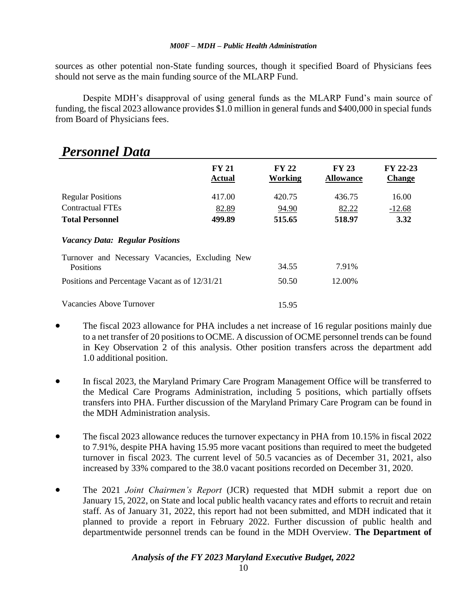sources as other potential non-State funding sources, though it specified Board of Physicians fees should not serve as the main funding source of the MLARP Fund.

Despite MDH's disapproval of using general funds as the MLARP Fund's main source of funding, the fiscal 2023 allowance provides \$1.0 million in general funds and \$400,000 in special funds from Board of Physicians fees.

| I crsonnel Dulu                                 |                               |                         |                                  |                           |
|-------------------------------------------------|-------------------------------|-------------------------|----------------------------------|---------------------------|
|                                                 | <b>FY 21</b><br><b>Actual</b> | <b>FY 22</b><br>Working | <b>FY 23</b><br><b>Allowance</b> | FY 22-23<br><b>Change</b> |
| <b>Regular Positions</b>                        | 417.00                        | 420.75                  | 436.75                           | 16.00                     |
| <b>Contractual FTEs</b>                         | 82.89                         | 94.90                   | 82.22                            | $-12.68$                  |
| <b>Total Personnel</b>                          | 499.89                        | 515.65                  | 518.97                           | 3.32                      |
| <b>Vacancy Data: Regular Positions</b>          |                               |                         |                                  |                           |
| Turnover and Necessary Vacancies, Excluding New |                               |                         |                                  |                           |
| Positions                                       |                               | 34.55                   | 7.91%                            |                           |
| Positions and Percentage Vacant as of 12/31/21  |                               | 50.50                   | 12.00%                           |                           |
| Vacancies Above Turnover                        |                               | 15.95                   |                                  |                           |

# *Personnel Data*

- The fiscal 2023 allowance for PHA includes a net increase of 16 regular positions mainly due to a net transfer of 20 positions to OCME. A discussion of OCME personnel trends can be found in Key Observation 2 of this analysis. Other position transfers across the department add 1.0 additional position.
- In fiscal 2023, the Maryland Primary Care Program Management Office will be transferred to the Medical Care Programs Administration, including 5 positions, which partially offsets transfers into PHA. Further discussion of the Maryland Primary Care Program can be found in the MDH Administration analysis.
- The fiscal 2023 allowance reduces the turnover expectancy in PHA from 10.15% in fiscal 2022 to 7.91%, despite PHA having 15.95 more vacant positions than required to meet the budgeted turnover in fiscal 2023. The current level of 50.5 vacancies as of December 31, 2021, also increased by 33% compared to the 38.0 vacant positions recorded on December 31, 2020.
- The 2021 *Joint Chairmen's Report* (JCR) requested that MDH submit a report due on January 15, 2022, on State and local public health vacancy rates and efforts to recruit and retain staff. As of January 31, 2022, this report had not been submitted, and MDH indicated that it planned to provide a report in February 2022. Further discussion of public health and departmentwide personnel trends can be found in the MDH Overview. **The Department of**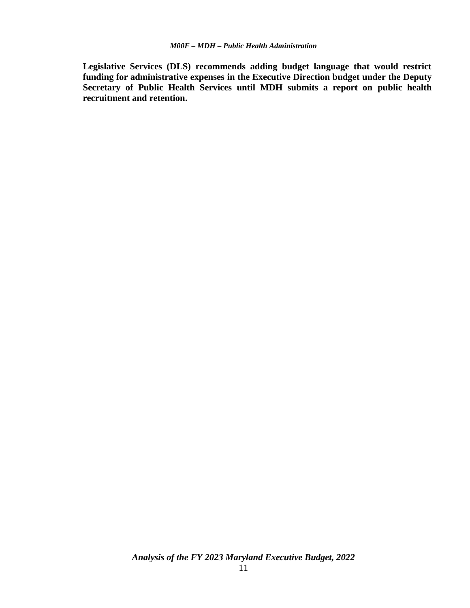**Legislative Services (DLS) recommends adding budget language that would restrict funding for administrative expenses in the Executive Direction budget under the Deputy Secretary of Public Health Services until MDH submits a report on public health recruitment and retention.**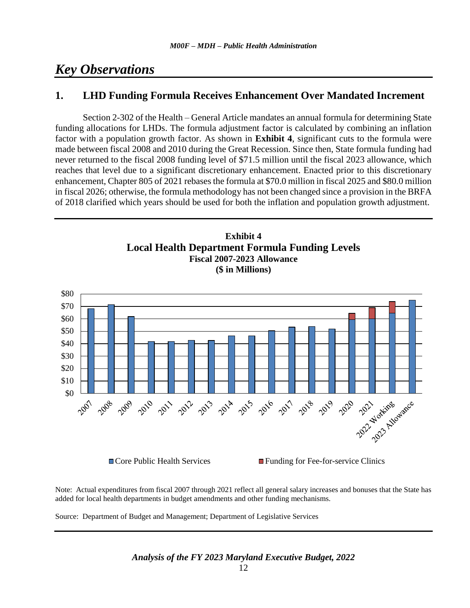# *Key Observations*

# **1. LHD Funding Formula Receives Enhancement Over Mandated Increment**

Section 2-302 of the Health – General Article mandates an annual formula for determining State funding allocations for LHDs. The formula adjustment factor is calculated by combining an inflation factor with a population growth factor. As shown in **Exhibit 4**, significant cuts to the formula were made between fiscal 2008 and 2010 during the Great Recession. Since then, State formula funding had never returned to the fiscal 2008 funding level of \$71.5 million until the fiscal 2023 allowance, which reaches that level due to a significant discretionary enhancement. Enacted prior to this discretionary enhancement, Chapter 805 of 2021 rebases the formula at \$70.0 million in fiscal 2025 and \$80.0 million in fiscal 2026; otherwise, the formula methodology has not been changed since a provision in the BRFA of 2018 clarified which years should be used for both the inflation and population growth adjustment.





Note: Actual expenditures from fiscal 2007 through 2021 reflect all general salary increases and bonuses that the State has added for local health departments in budget amendments and other funding mechanisms.

Source: Department of Budget and Management; Department of Legislative Services

 $\Box$  Core Public Health Services  $\Box$  Funding for Fee-for-service Clinics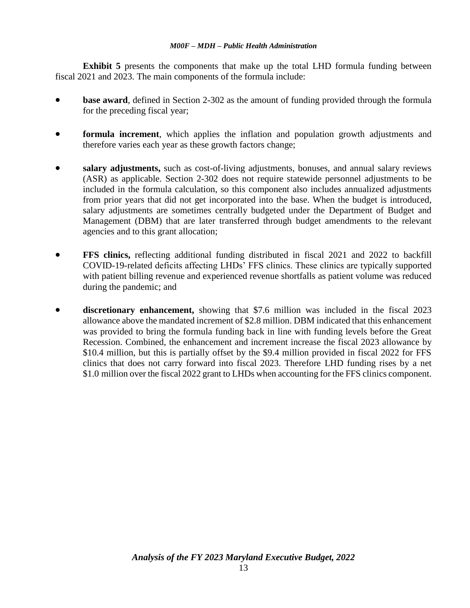**Exhibit 5** presents the components that make up the total LHD formula funding between fiscal 2021 and 2023. The main components of the formula include:

- **base award**, defined in Section 2-302 as the amount of funding provided through the formula for the preceding fiscal year;
- **formula increment**, which applies the inflation and population growth adjustments and therefore varies each year as these growth factors change;
- **salary adjustments,** such as cost-of-living adjustments, bonuses, and annual salary reviews (ASR) as applicable. Section 2-302 does not require statewide personnel adjustments to be included in the formula calculation, so this component also includes annualized adjustments from prior years that did not get incorporated into the base. When the budget is introduced, salary adjustments are sometimes centrally budgeted under the Department of Budget and Management (DBM) that are later transferred through budget amendments to the relevant agencies and to this grant allocation;
- **FFS clinics,** reflecting additional funding distributed in fiscal 2021 and 2022 to backfill COVID-19-related deficits affecting LHDs' FFS clinics. These clinics are typically supported with patient billing revenue and experienced revenue shortfalls as patient volume was reduced during the pandemic; and
- **discretionary enhancement,** showing that \$7.6 million was included in the fiscal 2023 allowance above the mandated increment of \$2.8 million. DBM indicated that this enhancement was provided to bring the formula funding back in line with funding levels before the Great Recession. Combined, the enhancement and increment increase the fiscal 2023 allowance by \$10.4 million, but this is partially offset by the \$9.4 million provided in fiscal 2022 for FFS clinics that does not carry forward into fiscal 2023. Therefore LHD funding rises by a net \$1.0 million over the fiscal 2022 grant to LHDs when accounting for the FFS clinics component.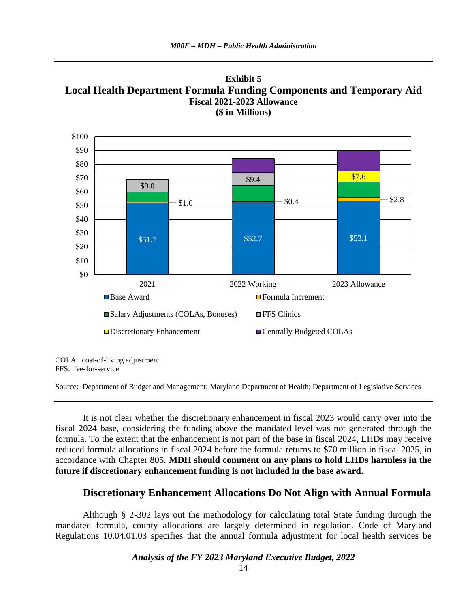



COLA: cost-of-living adjustment FFS: fee-for-service

Source: Department of Budget and Management; Maryland Department of Health; Department of Legislative Services

It is not clear whether the discretionary enhancement in fiscal 2023 would carry over into the fiscal 2024 base, considering the funding above the mandated level was not generated through the formula. To the extent that the enhancement is not part of the base in fiscal 2024, LHDs may receive reduced formula allocations in fiscal 2024 before the formula returns to \$70 million in fiscal 2025, in accordance with Chapter 805. **MDH should comment on any plans to hold LHDs harmless in the future if discretionary enhancement funding is not included in the base award.**

### **Discretionary Enhancement Allocations Do Not Align with Annual Formula**

Although § 2-302 lays out the methodology for calculating total State funding through the mandated formula, county allocations are largely determined in regulation. Code of Maryland Regulations 10.04.01.03 specifies that the annual formula adjustment for local health services be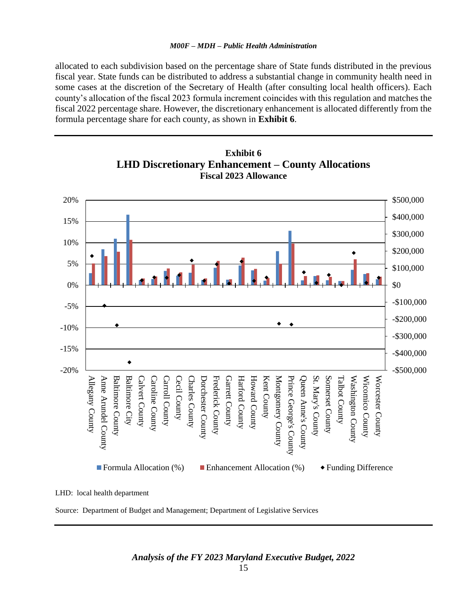allocated to each subdivision based on the percentage share of State funds distributed in the previous fiscal year. State funds can be distributed to address a substantial change in community health need in some cases at the discretion of the Secretary of Health (after consulting local health officers). Each county's allocation of the fiscal 2023 formula increment coincides with this regulation and matches the fiscal 2022 percentage share. However, the discretionary enhancement is allocated differently from the formula percentage share for each county, as shown in **Exhibit 6**.



**Exhibit 6 LHD Discretionary Enhancement – County Allocations Fiscal 2023 Allowance**

LHD: local health department

Source: Department of Budget and Management; Department of Legislative Services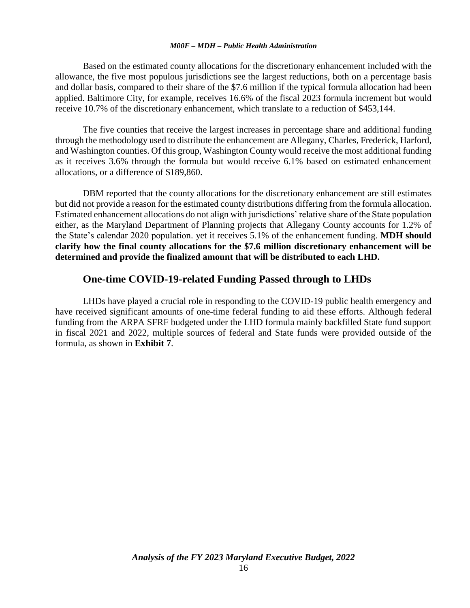Based on the estimated county allocations for the discretionary enhancement included with the allowance, the five most populous jurisdictions see the largest reductions, both on a percentage basis and dollar basis, compared to their share of the \$7.6 million if the typical formula allocation had been applied. Baltimore City, for example, receives 16.6% of the fiscal 2023 formula increment but would receive 10.7% of the discretionary enhancement, which translate to a reduction of \$453,144.

The five counties that receive the largest increases in percentage share and additional funding through the methodology used to distribute the enhancement are Allegany, Charles, Frederick, Harford, and Washington counties. Of this group, Washington County would receive the most additional funding as it receives 3.6% through the formula but would receive 6.1% based on estimated enhancement allocations, or a difference of \$189,860.

DBM reported that the county allocations for the discretionary enhancement are still estimates but did not provide a reason for the estimated county distributions differing from the formula allocation. Estimated enhancement allocations do not align with jurisdictions' relative share of the State population either, as the Maryland Department of Planning projects that Allegany County accounts for 1.2% of the State's calendar 2020 population. yet it receives 5.1% of the enhancement funding. **MDH should clarify how the final county allocations for the \$7.6 million discretionary enhancement will be determined and provide the finalized amount that will be distributed to each LHD.**

## **One-time COVID-19-related Funding Passed through to LHDs**

LHDs have played a crucial role in responding to the COVID-19 public health emergency and have received significant amounts of one-time federal funding to aid these efforts. Although federal funding from the ARPA SFRF budgeted under the LHD formula mainly backfilled State fund support in fiscal 2021 and 2022, multiple sources of federal and State funds were provided outside of the formula, as shown in **Exhibit 7**.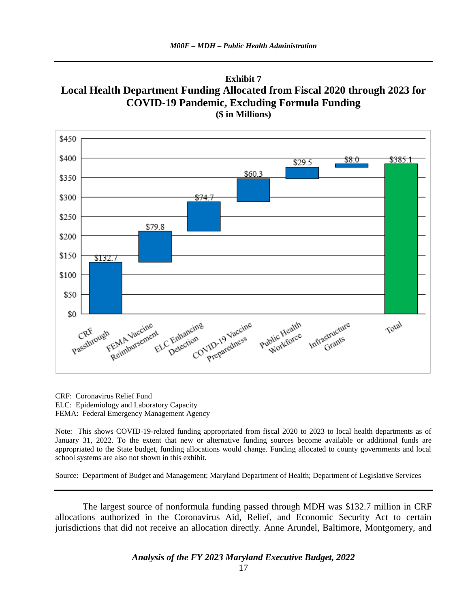



CRF: Coronavirus Relief Fund ELC: Epidemiology and Laboratory Capacity FEMA: Federal Emergency Management Agency

Note: This shows COVID-19-related funding appropriated from fiscal 2020 to 2023 to local health departments as of January 31, 2022. To the extent that new or alternative funding sources become available or additional funds are appropriated to the State budget, funding allocations would change. Funding allocated to county governments and local school systems are also not shown in this exhibit.

Source: Department of Budget and Management; Maryland Department of Health; Department of Legislative Services

The largest source of nonformula funding passed through MDH was \$132.7 million in CRF allocations authorized in the Coronavirus Aid, Relief, and Economic Security Act to certain jurisdictions that did not receive an allocation directly. Anne Arundel, Baltimore, Montgomery, and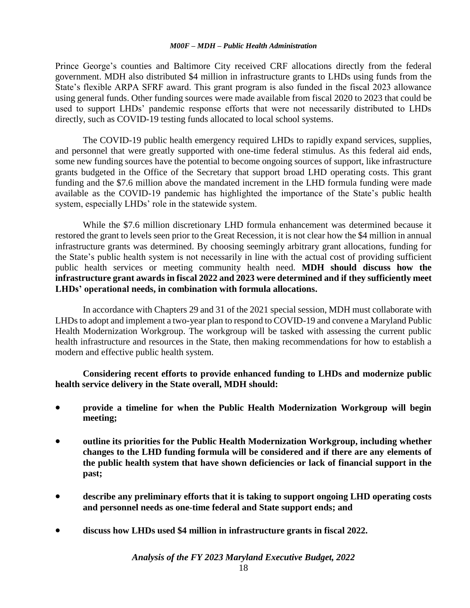Prince George's counties and Baltimore City received CRF allocations directly from the federal government. MDH also distributed \$4 million in infrastructure grants to LHDs using funds from the State's flexible ARPA SFRF award. This grant program is also funded in the fiscal 2023 allowance using general funds. Other funding sources were made available from fiscal 2020 to 2023 that could be used to support LHDs' pandemic response efforts that were not necessarily distributed to LHDs directly, such as COVID-19 testing funds allocated to local school systems.

The COVID-19 public health emergency required LHDs to rapidly expand services, supplies, and personnel that were greatly supported with one-time federal stimulus. As this federal aid ends, some new funding sources have the potential to become ongoing sources of support, like infrastructure grants budgeted in the Office of the Secretary that support broad LHD operating costs. This grant funding and the \$7.6 million above the mandated increment in the LHD formula funding were made available as the COVID-19 pandemic has highlighted the importance of the State's public health system, especially LHDs' role in the statewide system.

While the \$7.6 million discretionary LHD formula enhancement was determined because it restored the grant to levels seen prior to the Great Recession, it is not clear how the \$4 million in annual infrastructure grants was determined. By choosing seemingly arbitrary grant allocations, funding for the State's public health system is not necessarily in line with the actual cost of providing sufficient public health services or meeting community health need. **MDH should discuss how the infrastructure grant awards in fiscal 2022 and 2023 were determined and if they sufficiently meet LHDs' operational needs, in combination with formula allocations.** 

In accordance with Chapters 29 and 31 of the 2021 special session, MDH must collaborate with LHDs to adopt and implement a two-year plan to respond to COVID-19 and convene a Maryland Public Health Modernization Workgroup. The workgroup will be tasked with assessing the current public health infrastructure and resources in the State, then making recommendations for how to establish a modern and effective public health system.

**Considering recent efforts to provide enhanced funding to LHDs and modernize public health service delivery in the State overall, MDH should:** 

- **provide a timeline for when the Public Health Modernization Workgroup will begin meeting;**
- **outline its priorities for the Public Health Modernization Workgroup, including whether changes to the LHD funding formula will be considered and if there are any elements of the public health system that have shown deficiencies or lack of financial support in the past;**
- **describe any preliminary efforts that it is taking to support ongoing LHD operating costs and personnel needs as one-time federal and State support ends; and**
- **discuss how LHDs used \$4 million in infrastructure grants in fiscal 2022.**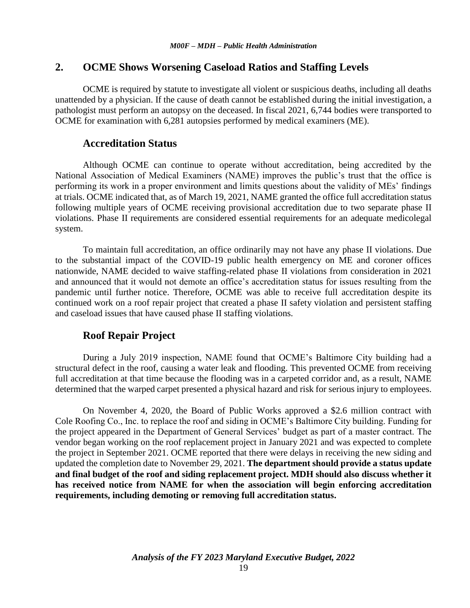# **2. OCME Shows Worsening Caseload Ratios and Staffing Levels**

OCME is required by statute to investigate all violent or suspicious deaths, including all deaths unattended by a physician. If the cause of death cannot be established during the initial investigation, a pathologist must perform an autopsy on the deceased. In fiscal 2021, 6,744 bodies were transported to OCME for examination with 6,281 autopsies performed by medical examiners (ME).

## **Accreditation Status**

Although OCME can continue to operate without accreditation, being accredited by the National Association of Medical Examiners (NAME) improves the public's trust that the office is performing its work in a proper environment and limits questions about the validity of MEs' findings at trials. OCME indicated that, as of March 19, 2021, NAME granted the office full accreditation status following multiple years of OCME receiving provisional accreditation due to two separate phase II violations. Phase II requirements are considered essential requirements for an adequate medicolegal system.

To maintain full accreditation, an office ordinarily may not have any phase II violations. Due to the substantial impact of the COVID-19 public health emergency on ME and coroner offices nationwide, NAME decided to waive staffing-related phase II violations from consideration in 2021 and announced that it would not demote an office's accreditation status for issues resulting from the pandemic until further notice. Therefore, OCME was able to receive full accreditation despite its continued work on a roof repair project that created a phase II safety violation and persistent staffing and caseload issues that have caused phase II staffing violations.

# **Roof Repair Project**

During a July 2019 inspection, NAME found that OCME's Baltimore City building had a structural defect in the roof, causing a water leak and flooding. This prevented OCME from receiving full accreditation at that time because the flooding was in a carpeted corridor and, as a result, NAME determined that the warped carpet presented a physical hazard and risk for serious injury to employees.

On November 4, 2020, the Board of Public Works approved a \$2.6 million contract with Cole Roofing Co., Inc. to replace the roof and siding in OCME's Baltimore City building. Funding for the project appeared in the Department of General Services' budget as part of a master contract. The vendor began working on the roof replacement project in January 2021 and was expected to complete the project in September 2021. OCME reported that there were delays in receiving the new siding and updated the completion date to November 29, 2021. **The department should provide a status update and final budget of the roof and siding replacement project. MDH should also discuss whether it has received notice from NAME for when the association will begin enforcing accreditation requirements, including demoting or removing full accreditation status.**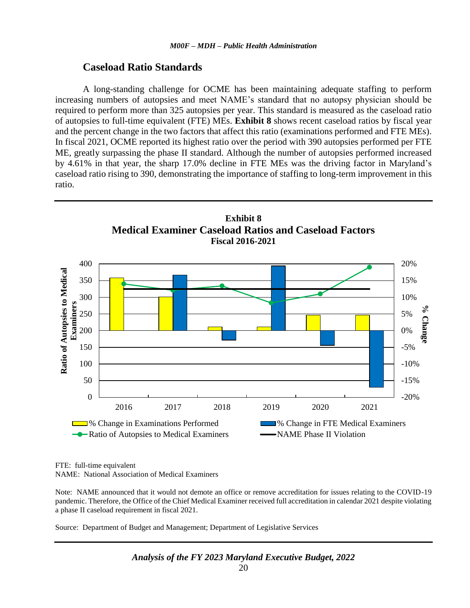#### **Caseload Ratio Standards**

A long-standing challenge for OCME has been maintaining adequate staffing to perform increasing numbers of autopsies and meet NAME's standard that no autopsy physician should be required to perform more than 325 autopsies per year. This standard is measured as the caseload ratio of autopsies to full-time equivalent (FTE) MEs. **Exhibit 8** shows recent caseload ratios by fiscal year and the percent change in the two factors that affect this ratio (examinations performed and FTE MEs). In fiscal 2021, OCME reported its highest ratio over the period with 390 autopsies performed per FTE ME, greatly surpassing the phase II standard. Although the number of autopsies performed increased by 4.61% in that year, the sharp 17.0% decline in FTE MEs was the driving factor in Maryland's caseload ratio rising to 390, demonstrating the importance of staffing to long-term improvement in this ratio.



FTE: full-time equivalent NAME: National Association of Medical Examiners

Note: NAME announced that it would not demote an office or remove accreditation for issues relating to the COVID-19 pandemic. Therefore, the Office of the Chief Medical Examiner received full accreditation in calendar 2021 despite violating a phase II caseload requirement in fiscal 2021.

Source: Department of Budget and Management; Department of Legislative Services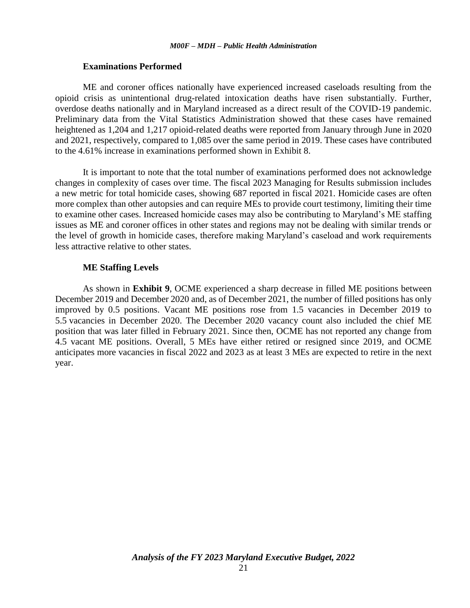#### **Examinations Performed**

ME and coroner offices nationally have experienced increased caseloads resulting from the opioid crisis as unintentional drug-related intoxication deaths have risen substantially. Further, overdose deaths nationally and in Maryland increased as a direct result of the COVID-19 pandemic. Preliminary data from the Vital Statistics Administration showed that these cases have remained heightened as 1,204 and 1,217 opioid-related deaths were reported from January through June in 2020 and 2021, respectively, compared to 1,085 over the same period in 2019. These cases have contributed to the 4.61% increase in examinations performed shown in Exhibit 8.

It is important to note that the total number of examinations performed does not acknowledge changes in complexity of cases over time. The fiscal 2023 Managing for Results submission includes a new metric for total homicide cases, showing 687 reported in fiscal 2021. Homicide cases are often more complex than other autopsies and can require MEs to provide court testimony, limiting their time to examine other cases. Increased homicide cases may also be contributing to Maryland's ME staffing issues as ME and coroner offices in other states and regions may not be dealing with similar trends or the level of growth in homicide cases, therefore making Maryland's caseload and work requirements less attractive relative to other states.

#### **ME Staffing Levels**

As shown in **Exhibit 9**, OCME experienced a sharp decrease in filled ME positions between December 2019 and December 2020 and, as of December 2021, the number of filled positions has only improved by 0.5 positions. Vacant ME positions rose from 1.5 vacancies in December 2019 to 5.5 vacancies in December 2020. The December 2020 vacancy count also included the chief ME position that was later filled in February 2021. Since then, OCME has not reported any change from 4.5 vacant ME positions. Overall, 5 MEs have either retired or resigned since 2019, and OCME anticipates more vacancies in fiscal 2022 and 2023 as at least 3 MEs are expected to retire in the next year.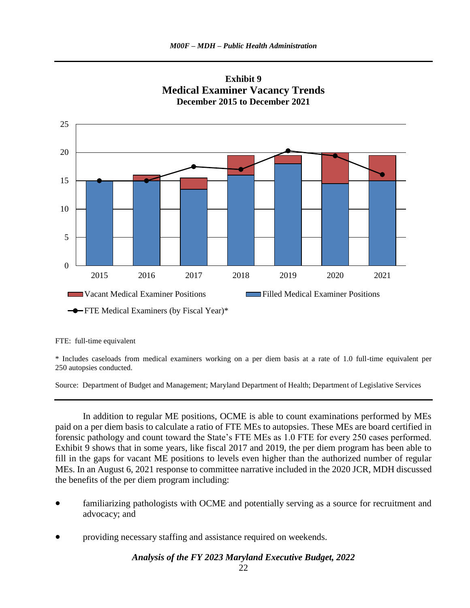



#### FTE: full-time equivalent

\* Includes caseloads from medical examiners working on a per diem basis at a rate of 1.0 full-time equivalent per 250 autopsies conducted.

Source: Department of Budget and Management; Maryland Department of Health; Department of Legislative Services

In addition to regular ME positions, OCME is able to count examinations performed by MEs paid on a per diem basis to calculate a ratio of FTE MEs to autopsies. These MEs are board certified in forensic pathology and count toward the State's FTE MEs as 1.0 FTE for every 250 cases performed. Exhibit 9 shows that in some years, like fiscal 2017 and 2019, the per diem program has been able to fill in the gaps for vacant ME positions to levels even higher than the authorized number of regular MEs. In an August 6, 2021 response to committee narrative included in the 2020 JCR, MDH discussed the benefits of the per diem program including:

- familiarizing pathologists with OCME and potentially serving as a source for recruitment and advocacy; and
- providing necessary staffing and assistance required on weekends.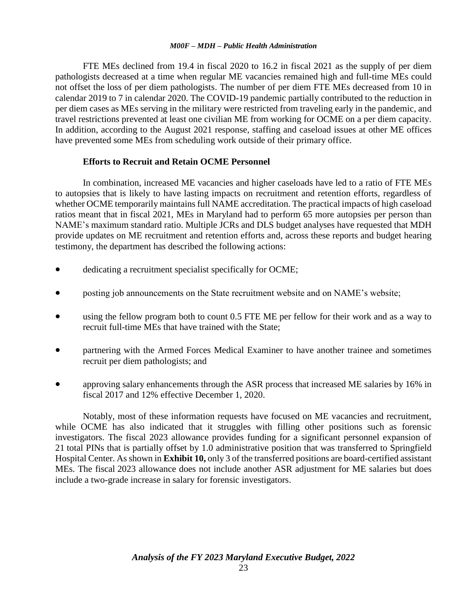FTE MEs declined from 19.4 in fiscal 2020 to 16.2 in fiscal 2021 as the supply of per diem pathologists decreased at a time when regular ME vacancies remained high and full-time MEs could not offset the loss of per diem pathologists. The number of per diem FTE MEs decreased from 10 in calendar 2019 to 7 in calendar 2020. The COVID-19 pandemic partially contributed to the reduction in per diem cases as MEs serving in the military were restricted from traveling early in the pandemic, and travel restrictions prevented at least one civilian ME from working for OCME on a per diem capacity. In addition, according to the August 2021 response, staffing and caseload issues at other ME offices have prevented some MEs from scheduling work outside of their primary office.

## **Efforts to Recruit and Retain OCME Personnel**

In combination, increased ME vacancies and higher caseloads have led to a ratio of FTE MEs to autopsies that is likely to have lasting impacts on recruitment and retention efforts, regardless of whether OCME temporarily maintains full NAME accreditation. The practical impacts of high caseload ratios meant that in fiscal 2021, MEs in Maryland had to perform 65 more autopsies per person than NAME's maximum standard ratio. Multiple JCRs and DLS budget analyses have requested that MDH provide updates on ME recruitment and retention efforts and, across these reports and budget hearing testimony, the department has described the following actions:

- dedicating a recruitment specialist specifically for OCME;
- posting job announcements on the State recruitment website and on NAME's website;
- using the fellow program both to count 0.5 FTE ME per fellow for their work and as a way to recruit full-time MEs that have trained with the State;
- partnering with the Armed Forces Medical Examiner to have another trainee and sometimes recruit per diem pathologists; and
- approving salary enhancements through the ASR process that increased ME salaries by 16% in fiscal 2017 and 12% effective December 1, 2020.

Notably, most of these information requests have focused on ME vacancies and recruitment, while OCME has also indicated that it struggles with filling other positions such as forensic investigators. The fiscal 2023 allowance provides funding for a significant personnel expansion of 21 total PINs that is partially offset by 1.0 administrative position that was transferred to Springfield Hospital Center. As shown in **Exhibit 10,** only 3 of the transferred positions are board-certified assistant MEs. The fiscal 2023 allowance does not include another ASR adjustment for ME salaries but does include a two-grade increase in salary for forensic investigators.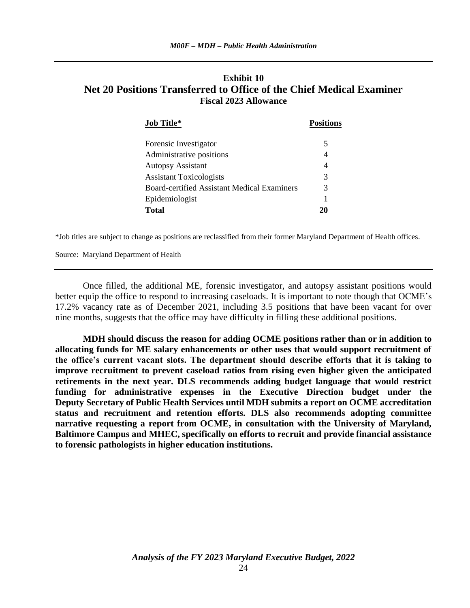# **Exhibit 10 Net 20 Positions Transferred to Office of the Chief Medical Examiner Fiscal 2023 Allowance**

| <b>Job Title*</b>                           | <b>Positions</b> |
|---------------------------------------------|------------------|
| Forensic Investigator                       | 5                |
| Administrative positions                    | 4                |
| <b>Autopsy Assistant</b>                    | 4                |
| <b>Assistant Toxicologists</b>              | 3                |
| Board-certified Assistant Medical Examiners | 3                |
| Epidemiologist                              | 1                |
| <b>Total</b>                                |                  |

\*Job titles are subject to change as positions are reclassified from their former Maryland Department of Health offices.

Source: Maryland Department of Health

Once filled, the additional ME, forensic investigator, and autopsy assistant positions would better equip the office to respond to increasing caseloads. It is important to note though that OCME's 17.2% vacancy rate as of December 2021, including 3.5 positions that have been vacant for over nine months, suggests that the office may have difficulty in filling these additional positions.

**MDH should discuss the reason for adding OCME positions rather than or in addition to allocating funds for ME salary enhancements or other uses that would support recruitment of the office's current vacant slots. The department should describe efforts that it is taking to improve recruitment to prevent caseload ratios from rising even higher given the anticipated retirements in the next year. DLS recommends adding budget language that would restrict funding for administrative expenses in the Executive Direction budget under the Deputy Secretary of Public Health Services until MDH submits a report on OCME accreditation status and recruitment and retention efforts. DLS also recommends adopting committee narrative requesting a report from OCME, in consultation with the University of Maryland, Baltimore Campus and MHEC, specifically on efforts to recruit and provide financial assistance to forensic pathologists in higher education institutions.**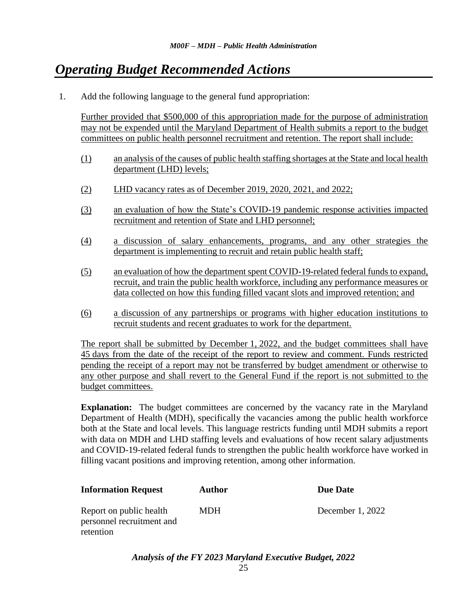# *Operating Budget Recommended Actions*

1. Add the following language to the general fund appropriation:

Further provided that \$500,000 of this appropriation made for the purpose of administration may not be expended until the Maryland Department of Health submits a report to the budget committees on public health personnel recruitment and retention. The report shall include:

- (1) an analysis of the causes of public health staffing shortages at the State and local health department (LHD) levels;
- (2) LHD vacancy rates as of December 2019, 2020, 2021, and 2022;
- (3) an evaluation of how the State's COVID-19 pandemic response activities impacted recruitment and retention of State and LHD personnel;
- (4) a discussion of salary enhancements, programs, and any other strategies the department is implementing to recruit and retain public health staff;
- (5) an evaluation of how the department spent COVID-19-related federal funds to expand, recruit, and train the public health workforce, including any performance measures or data collected on how this funding filled vacant slots and improved retention; and
- (6) a discussion of any partnerships or programs with higher education institutions to recruit students and recent graduates to work for the department.

The report shall be submitted by December 1, 2022, and the budget committees shall have 45 days from the date of the receipt of the report to review and comment. Funds restricted pending the receipt of a report may not be transferred by budget amendment or otherwise to any other purpose and shall revert to the General Fund if the report is not submitted to the budget committees.

**Explanation:** The budget committees are concerned by the vacancy rate in the Maryland Department of Health (MDH), specifically the vacancies among the public health workforce both at the State and local levels. This language restricts funding until MDH submits a report with data on MDH and LHD staffing levels and evaluations of how recent salary adjustments and COVID-19-related federal funds to strengthen the public health workforce have worked in filling vacant positions and improving retention, among other information.

| <b>Information Request</b>                                        | <b>Author</b> | <b>Due Date</b>  |
|-------------------------------------------------------------------|---------------|------------------|
| Report on public health<br>personnel recruitment and<br>retention | <b>MDH</b>    | December 1, 2022 |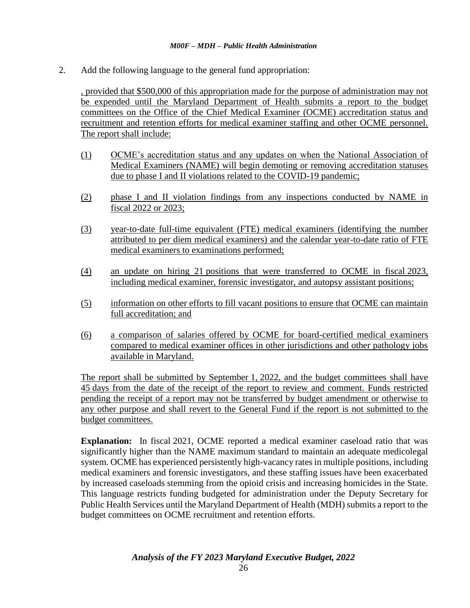2. Add the following language to the general fund appropriation:

, provided that \$500,000 of this appropriation made for the purpose of administration may not be expended until the Maryland Department of Health submits a report to the budget committees on the Office of the Chief Medical Examiner (OCME) accreditation status and recruitment and retention efforts for medical examiner staffing and other OCME personnel. The report shall include:

- (1) OCME's accreditation status and any updates on when the National Association of Medical Examiners (NAME) will begin demoting or removing accreditation statuses due to phase I and II violations related to the COVID-19 pandemic;
- (2) phase I and II violation findings from any inspections conducted by NAME in fiscal 2022 or 2023;
- (3) year-to-date full-time equivalent (FTE) medical examiners (identifying the number attributed to per diem medical examiners) and the calendar year-to-date ratio of FTE medical examiners to examinations performed;
- (4) an update on hiring 21 positions that were transferred to OCME in fiscal 2023, including medical examiner, forensic investigator, and autopsy assistant positions;
- (5) information on other efforts to fill vacant positions to ensure that OCME can maintain full accreditation; and
- (6) a comparison of salaries offered by OCME for board-certified medical examiners compared to medical examiner offices in other jurisdictions and other pathology jobs available in Maryland.

The report shall be submitted by September 1, 2022, and the budget committees shall have 45 days from the date of the receipt of the report to review and comment. Funds restricted pending the receipt of a report may not be transferred by budget amendment or otherwise to any other purpose and shall revert to the General Fund if the report is not submitted to the budget committees.

**Explanation:** In fiscal 2021, OCME reported a medical examiner caseload ratio that was significantly higher than the NAME maximum standard to maintain an adequate medicolegal system. OCME has experienced persistently high-vacancy rates in multiple positions, including medical examiners and forensic investigators, and these staffing issues have been exacerbated by increased caseloads stemming from the opioid crisis and increasing homicides in the State. This language restricts funding budgeted for administration under the Deputy Secretary for Public Health Services until the Maryland Department of Health (MDH) submits a report to the budget committees on OCME recruitment and retention efforts.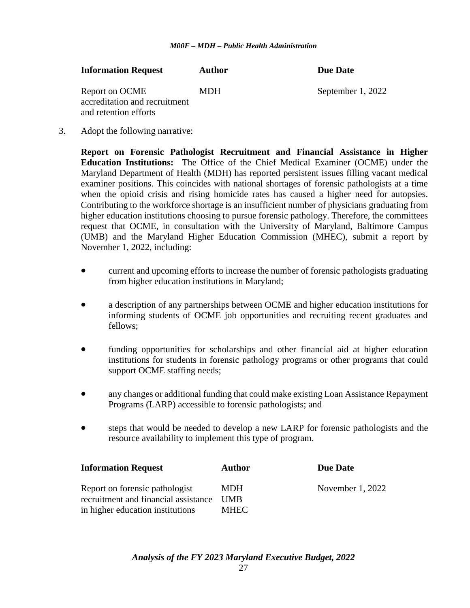| <b>Information Request</b>                                               | <b>Author</b> | <b>Due Date</b>   |
|--------------------------------------------------------------------------|---------------|-------------------|
| Report on OCME<br>accreditation and recruitment<br>and retention efforts | <b>MDH</b>    | September 1, 2022 |

3. Adopt the following narrative:

**Report on Forensic Pathologist Recruitment and Financial Assistance in Higher Education Institutions:** The Office of the Chief Medical Examiner (OCME) under the Maryland Department of Health (MDH) has reported persistent issues filling vacant medical examiner positions. This coincides with national shortages of forensic pathologists at a time when the opioid crisis and rising homicide rates has caused a higher need for autopsies. Contributing to the workforce shortage is an insufficient number of physicians graduating from higher education institutions choosing to pursue forensic pathology. Therefore, the committees request that OCME, in consultation with the University of Maryland, Baltimore Campus (UMB) and the Maryland Higher Education Commission (MHEC), submit a report by November 1, 2022, including:

- current and upcoming efforts to increase the number of forensic pathologists graduating from higher education institutions in Maryland;
- a description of any partnerships between OCME and higher education institutions for informing students of OCME job opportunities and recruiting recent graduates and fellows;
- funding opportunities for scholarships and other financial aid at higher education institutions for students in forensic pathology programs or other programs that could support OCME staffing needs;
- any changes or additional funding that could make existing Loan Assistance Repayment Programs (LARP) accessible to forensic pathologists; and
- steps that would be needed to develop a new LARP for forensic pathologists and the resource availability to implement this type of program.

| <b>Information Request</b>                                             | <b>Author</b>            | <b>Due Date</b>    |
|------------------------------------------------------------------------|--------------------------|--------------------|
| Report on forensic pathologist<br>recruitment and financial assistance | <b>MDH</b><br><b>UMB</b> | November $1, 2022$ |
| in higher education institutions                                       | <b>MHEC</b>              |                    |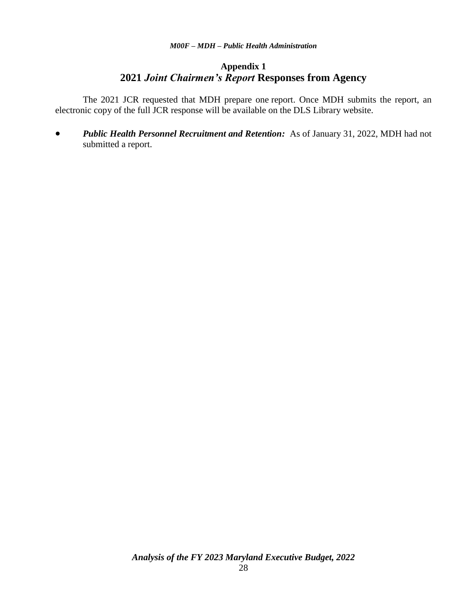# **Appendix 1 2021** *Joint Chairmen's Report* **Responses from Agency**

The 2021 JCR requested that MDH prepare one report. Once MDH submits the report, an electronic copy of the full JCR response will be available on the DLS Library website.

 *Public Health Personnel Recruitment and Retention:* As of January 31, 2022, MDH had not submitted a report.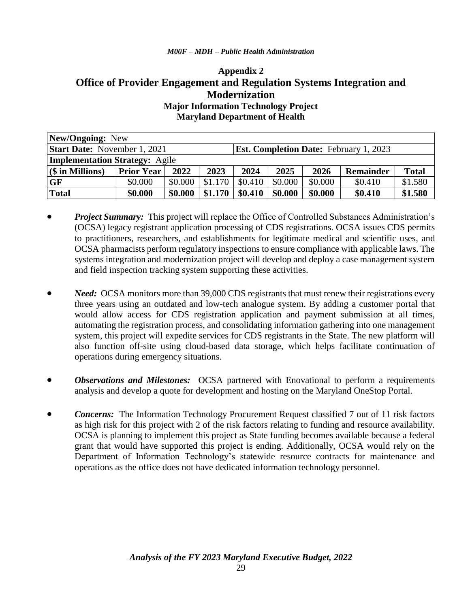# **Appendix 2 Office of Provider Engagement and Regulation Systems Integration and Modernization Major Information Technology Project Maryland Department of Health**

| New/Ongoing: New                                                                     |                   |         |         |                                                          |         |         |         |         |
|--------------------------------------------------------------------------------------|-------------------|---------|---------|----------------------------------------------------------|---------|---------|---------|---------|
| <b>Start Date:</b> November 1, 2021<br><b>Est. Completion Date: February 1, 2023</b> |                   |         |         |                                                          |         |         |         |         |
| <b>Implementation Strategy: Agile</b>                                                |                   |         |         |                                                          |         |         |         |         |
| $(\$\)$ in Millions)                                                                 | <b>Prior Year</b> | 2022    | 2023    | 2025<br>2024<br><b>Total</b><br>2026<br><b>Remainder</b> |         |         |         |         |
| <b>GF</b>                                                                            | \$0.000           | \$0.000 | \$1.170 | \$0.410                                                  | \$0.000 | \$0.000 | \$0.410 | \$1.580 |
| Total                                                                                | \$0.000           | \$0.000 | \$1.170 | \$0.410                                                  | \$0.000 | \$0.000 | \$0.410 | \$1.580 |

- *Project Summary:* This project will replace the Office of Controlled Substances Administration's (OCSA) legacy registrant application processing of CDS registrations. OCSA issues CDS permits to practitioners, researchers, and establishments for legitimate medical and scientific uses, and OCSA pharmacists perform regulatory inspections to ensure compliance with applicable laws. The systems integration and modernization project will develop and deploy a case management system and field inspection tracking system supporting these activities.
- *Need:* OCSA monitors more than 39,000 CDS registrants that must renew their registrations every three years using an outdated and low-tech analogue system. By adding a customer portal that would allow access for CDS registration application and payment submission at all times, automating the registration process, and consolidating information gathering into one management system, this project will expedite services for CDS registrants in the State. The new platform will also function off-site using cloud-based data storage, which helps facilitate continuation of operations during emergency situations.
- *Observations and Milestones:* OCSA partnered with Enovational to perform a requirements analysis and develop a quote for development and hosting on the Maryland OneStop Portal.
- *Concerns:* The Information Technology Procurement Request classified 7 out of 11 risk factors as high risk for this project with 2 of the risk factors relating to funding and resource availability. OCSA is planning to implement this project as State funding becomes available because a federal grant that would have supported this project is ending. Additionally, OCSA would rely on the Department of Information Technology's statewide resource contracts for maintenance and operations as the office does not have dedicated information technology personnel.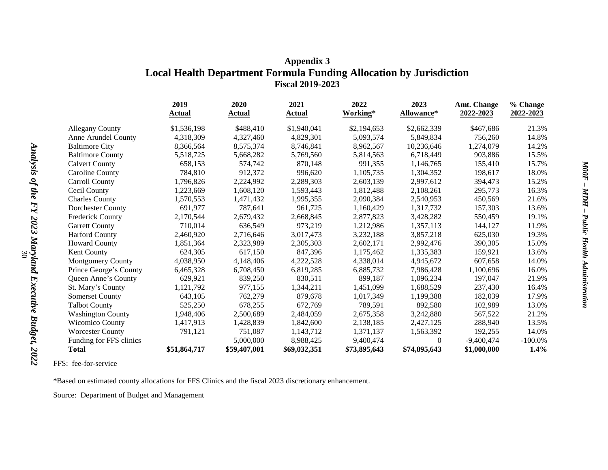# **Appendix 3 Local Health Department Formula Funding Allocation by Jurisdiction Fiscal 2019-2023**

|                          | 2019         | 2020         | 2021          | 2022         | 2023              | <b>Amt. Change</b> | % Change   |
|--------------------------|--------------|--------------|---------------|--------------|-------------------|--------------------|------------|
|                          | Actual       | Actual       | <b>Actual</b> | Working*     | <b>Allowance*</b> | 2022-2023          | 2022-2023  |
| <b>Allegany County</b>   | \$1,536,198  | \$488,410    | \$1,940,041   | \$2,194,653  | \$2,662,339       | \$467,686          | 21.3%      |
| Anne Arundel County      | 4,318,309    | 4,327,460    | 4,829,301     | 5,093,574    | 5,849,834         | 756,260            | 14.8%      |
| <b>Baltimore City</b>    | 8,366,564    | 8,575,374    | 8,746,841     | 8,962,567    | 10,236,646        | 1,274,079          | 14.2%      |
| <b>Baltimore County</b>  | 5,518,725    | 5,668,282    | 5,769,560     | 5,814,563    | 6,718,449         | 903,886            | 15.5%      |
| <b>Calvert County</b>    | 658,153      | 574,742      | 870,148       | 991,355      | 1,146,765         | 155,410            | 15.7%      |
| <b>Caroline County</b>   | 784,810      | 912,372      | 996.620       | 1,105,735    | 1,304,352         | 198,617            | 18.0%      |
| <b>Carroll County</b>    | 1,796,826    | 2,224,992    | 2,289,303     | 2,603,139    | 2,997,612         | 394,473            | 15.2%      |
| Cecil County             | 1,223,669    | 1,608,120    | 1,593,443     | 1,812,488    | 2,108,261         | 295,773            | 16.3%      |
| <b>Charles County</b>    | 1,570,553    | 1,471,432    | 1,995,355     | 2,090,384    | 2,540,953         | 450,569            | 21.6%      |
| Dorchester County        | 691.977      | 787,641      | 961.725       | 1,160,429    | 1,317,732         | 157,303            | 13.6%      |
| <b>Frederick County</b>  | 2,170,544    | 2,679,432    | 2,668,845     | 2,877,823    | 3,428,282         | 550,459            | 19.1%      |
| <b>Garrett County</b>    | 710,014      | 636,549      | 973,219       | 1,212,986    | 1,357,113         | 144,127            | 11.9%      |
| <b>Harford County</b>    | 2,460,920    | 2,716,646    | 3,017,473     | 3,232,188    | 3,857,218         | 625,030            | 19.3%      |
| <b>Howard County</b>     | 1,851,364    | 2,323,989    | 2,305,303     | 2,602,171    | 2,992,476         | 390,305            | 15.0%      |
| Kent County              | 624,305      | 617,150      | 847,396       | 1,175,462    | 1,335,383         | 159.921            | 13.6%      |
| <b>Montgomery County</b> | 4,038,950    | 4,148,406    | 4,222,528     | 4,338,014    | 4,945,672         | 607,658            | 14.0%      |
| Prince George's County   | 6,465,328    | 6,708,450    | 6,819,285     | 6,885,732    | 7,986,428         | 1,100,696          | 16.0%      |
| Queen Anne's County      | 629,921      | 839,250      | 830,511       | 899,187      | 1,096,234         | 197,047            | 21.9%      |
| St. Mary's County        | 1,121,792    | 977,155      | 1,344,211     | 1,451,099    | 1,688,529         | 237,430            | 16.4%      |
| Somerset County          | 643,105      | 762,279      | 879,678       | 1,017,349    | 1,199,388         | 182,039            | 17.9%      |
| <b>Talbot County</b>     | 525,250      | 678,255      | 672,769       | 789,591      | 892,580           | 102,989            | 13.0%      |
| <b>Washington County</b> | 1,948,406    | 2,500,689    | 2,484,059     | 2,675,358    | 3,242,880         | 567,522            | 21.2%      |
| <b>Wicomico County</b>   | 1,417,913    | 1,428,839    | 1,842,600     | 2,138,185    | 2,427,125         | 288,940            | 13.5%      |
| <b>Worcester County</b>  | 791,121      | 751,087      | 1,143,712     | 1,371,137    | 1,563,392         | 192,255            | 14.0%      |
| Funding for FFS clinics  |              | 5,000,000    | 8,988,425     | 9,400,474    | $\Omega$          | $-9,400,474$       | $-100.0\%$ |
| <b>Total</b>             | \$51,864,717 | \$59,407,001 | \$69,032,351  | \$73,895,643 | \$74,895,643      | \$1,000,000        | $1.4\%$    |

FFS: fee-for-service

\*Based on estimated county allocations for FFS Clinics and the fiscal 2023 discretionary enhancement.

Source: Department of Budget and Management